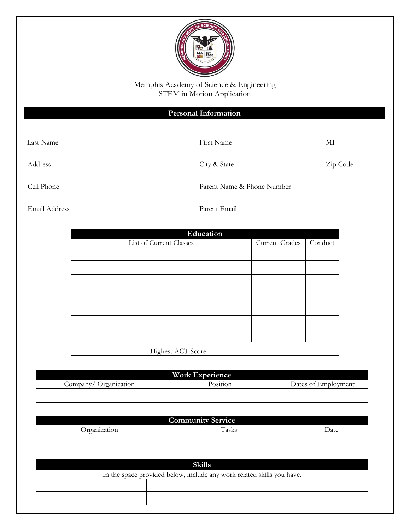

Memphis Academy of Science & Engineering STEM in Motion Application

| <b>Personal Information</b> |              |                            |  |  |
|-----------------------------|--------------|----------------------------|--|--|
|                             |              |                            |  |  |
| Last Name                   | First Name   | MI                         |  |  |
| Address                     | City & State | Zip Code                   |  |  |
| Cell Phone                  |              | Parent Name & Phone Number |  |  |
| Email Address               | Parent Email |                            |  |  |

| Education               |                       |         |  |  |  |  |
|-------------------------|-----------------------|---------|--|--|--|--|
| List of Current Classes | <b>Current Grades</b> | Conduct |  |  |  |  |
|                         |                       |         |  |  |  |  |
|                         |                       |         |  |  |  |  |
|                         |                       |         |  |  |  |  |
|                         |                       |         |  |  |  |  |
|                         |                       |         |  |  |  |  |
|                         |                       |         |  |  |  |  |
|                         |                       |         |  |  |  |  |
| Highest ACT Score       |                       |         |  |  |  |  |

| <b>Work Experience</b>                                                 |                          |                     |  |  |  |
|------------------------------------------------------------------------|--------------------------|---------------------|--|--|--|
| Company/Organization                                                   | Position                 | Dates of Employment |  |  |  |
|                                                                        |                          |                     |  |  |  |
|                                                                        |                          |                     |  |  |  |
|                                                                        | <b>Community Service</b> |                     |  |  |  |
| Organization                                                           | Tasks                    | Date                |  |  |  |
|                                                                        |                          |                     |  |  |  |
|                                                                        |                          |                     |  |  |  |
| <b>Skills</b>                                                          |                          |                     |  |  |  |
| In the space provided below, include any work related skills you have. |                          |                     |  |  |  |
|                                                                        |                          |                     |  |  |  |
|                                                                        |                          |                     |  |  |  |